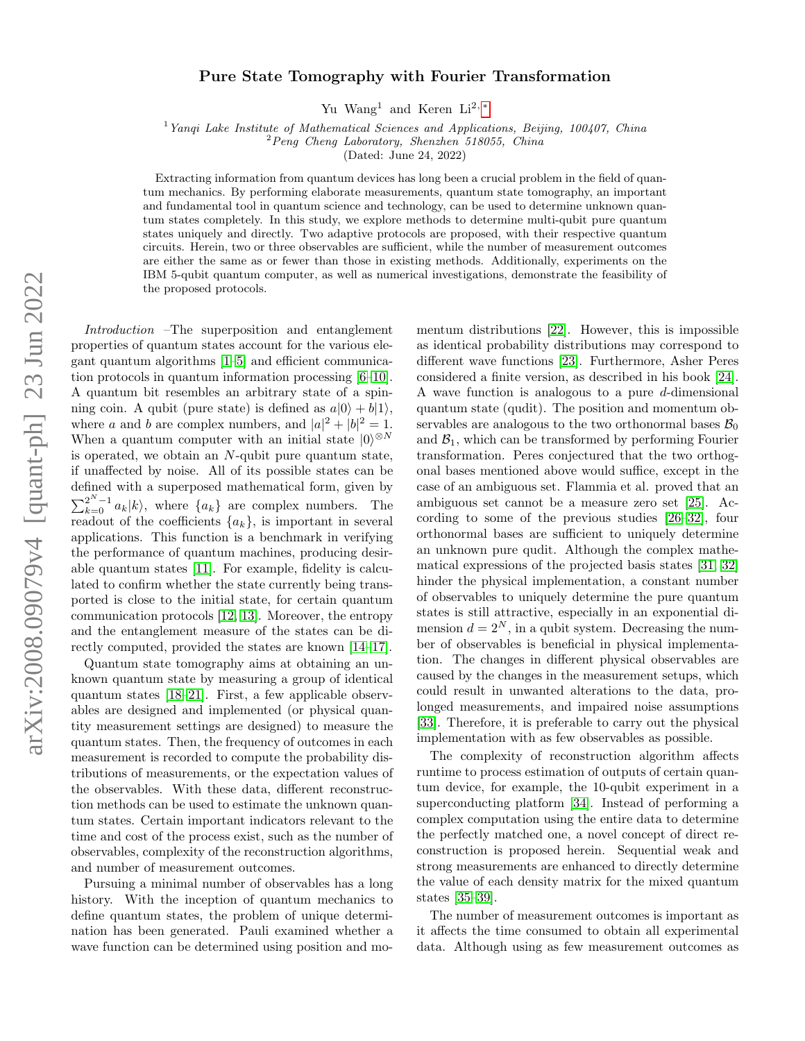## Pure State Tomography with Fourier Transformation

Yu Wang<sup>1</sup> and Keren Li<sup>2,\*</sup>

<sup>1</sup> Yangi Lake Institute of Mathematical Sciences and Applications, Beijing, 100407, China

 $2$ Peng Cheng Laboratory, Shenzhen 518055, China

(Dated: June 24, 2022)

Extracting information from quantum devices has long been a crucial problem in the field of quantum mechanics. By performing elaborate measurements, quantum state tomography, an important and fundamental tool in quantum science and technology, can be used to determine unknown quantum states completely. In this study, we explore methods to determine multi-qubit pure quantum states uniquely and directly. Two adaptive protocols are proposed, with their respective quantum circuits. Herein, two or three observables are sufficient, while the number of measurement outcomes are either the same as or fewer than those in existing methods. Additionally, experiments on the IBM 5-qubit quantum computer, as well as numerical investigations, demonstrate the feasibility of the proposed protocols.

Introduction –The superposition and entanglement properties of quantum states account for the various elegant quantum algorithms [\[1–](#page-6-1)[5\]](#page-6-2) and efficient communication protocols in quantum information processing [\[6–](#page-6-3)[10\]](#page-6-4). A quantum bit resembles an arbitrary state of a spinning coin. A qubit (pure state) is defined as  $a|0\rangle + b|1\rangle$ , where a and b are complex numbers, and  $|a|^2 + |b|^2 = 1$ . When a quantum computer with an initial state  $|0\rangle^{\otimes N}$ is operated, we obtain an  $N$ -qubit pure quantum state, if unaffected by noise. All of its possible states can be defined with a superposed mathematical form, given by  $\sum_{k=0}^{2^N-1} a_k |k\rangle$ , where  $\{a_k\}$  are complex numbers. The readout of the coefficients  $\{a_k\}$ , is important in several applications. This function is a benchmark in verifying the performance of quantum machines, producing desirable quantum states [\[11\]](#page-6-5). For example, fidelity is calculated to confirm whether the state currently being transported is close to the initial state, for certain quantum communication protocols [\[12,](#page-6-6) [13\]](#page-6-7). Moreover, the entropy and the entanglement measure of the states can be directly computed, provided the states are known [\[14–](#page-6-8)[17\]](#page-6-9).

Quantum state tomography aims at obtaining an unknown quantum state by measuring a group of identical quantum states [\[18](#page-6-10)[–21\]](#page-6-11). First, a few applicable observables are designed and implemented (or physical quantity measurement settings are designed) to measure the quantum states. Then, the frequency of outcomes in each measurement is recorded to compute the probability distributions of measurements, or the expectation values of the observables. With these data, different reconstruction methods can be used to estimate the unknown quantum states. Certain important indicators relevant to the time and cost of the process exist, such as the number of observables, complexity of the reconstruction algorithms, and number of measurement outcomes.

Pursuing a minimal number of observables has a long history. With the inception of quantum mechanics to define quantum states, the problem of unique determination has been generated. Pauli examined whether a wave function can be determined using position and momentum distributions [\[22\]](#page-7-0). However, this is impossible as identical probability distributions may correspond to different wave functions [\[23\]](#page-7-1). Furthermore, Asher Peres considered a finite version, as described in his book [\[24\]](#page-7-2). A wave function is analogous to a pure d-dimensional quantum state (qudit). The position and momentum observables are analogous to the two orthonormal bases  $\mathcal{B}_0$ and  $\mathcal{B}_1$ , which can be transformed by performing Fourier transformation. Peres conjectured that the two orthogonal bases mentioned above would suffice, except in the case of an ambiguous set. Flammia et al. proved that an ambiguous set cannot be a measure zero set [\[25\]](#page-7-3). According to some of the previous studies [\[26](#page-7-4)[–32\]](#page-7-5), four orthonormal bases are sufficient to uniquely determine an unknown pure qudit. Although the complex mathematical expressions of the projected basis states [\[31,](#page-7-6) [32\]](#page-7-5) hinder the physical implementation, a constant number of observables to uniquely determine the pure quantum states is still attractive, especially in an exponential dimension  $d = 2^N$ , in a qubit system. Decreasing the number of observables is beneficial in physical implementation. The changes in different physical observables are caused by the changes in the measurement setups, which could result in unwanted alterations to the data, prolonged measurements, and impaired noise assumptions [\[33\]](#page-7-7). Therefore, it is preferable to carry out the physical implementation with as few observables as possible.

The complexity of reconstruction algorithm affects runtime to process estimation of outputs of certain quantum device, for example, the 10-qubit experiment in a superconducting platform [\[34\]](#page-7-8). Instead of performing a complex computation using the entire data to determine the perfectly matched one, a novel concept of direct reconstruction is proposed herein. Sequential weak and strong measurements are enhanced to directly determine the value of each density matrix for the mixed quantum states [\[35](#page-7-9)[–39\]](#page-7-10).

The number of measurement outcomes is important as it affects the time consumed to obtain all experimental data. Although using as few measurement outcomes as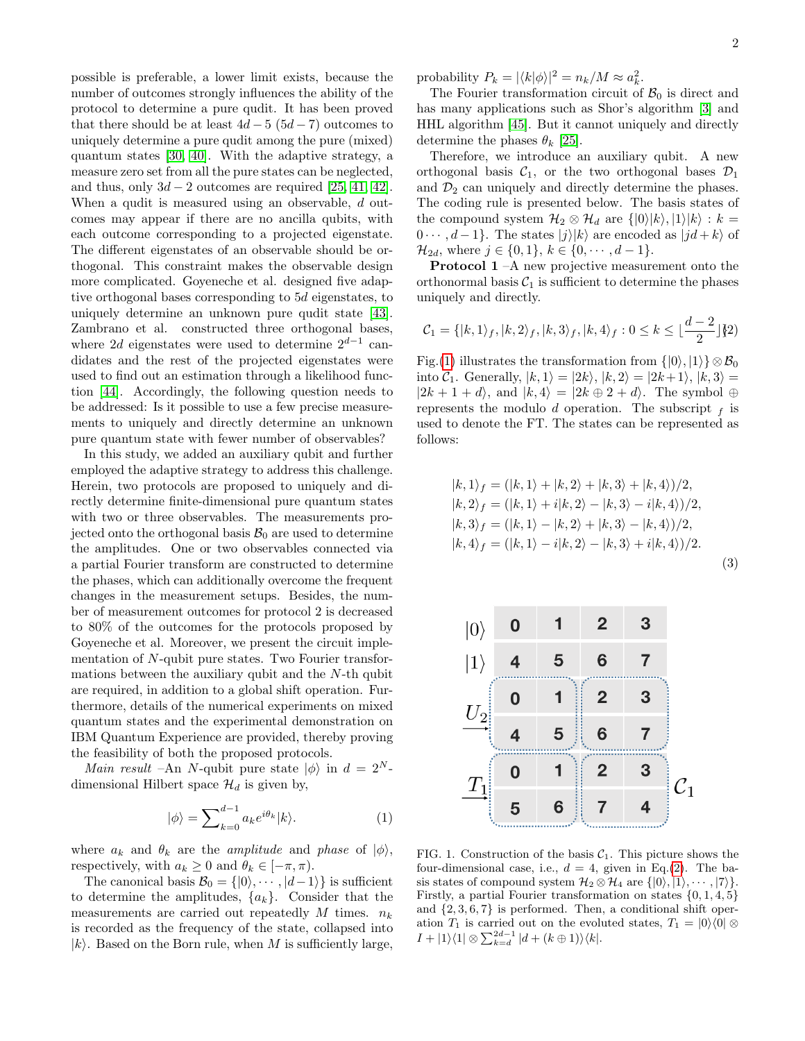possible is preferable, a lower limit exists, because the number of outcomes strongly influences the ability of the protocol to determine a pure qudit. It has been proved that there should be at least  $4d-5$  ( $5d-7$ ) outcomes to uniquely determine a pure qudit among the pure (mixed) quantum states [\[30,](#page-7-11) [40\]](#page-7-12). With the adaptive strategy, a measure zero set from all the pure states can be neglected, and thus, only  $3d - 2$  outcomes are required [\[25,](#page-7-3) [41,](#page-7-13) [42\]](#page-7-14). When a qudit is measured using an observable, d outcomes may appear if there are no ancilla qubits, with each outcome corresponding to a projected eigenstate. The different eigenstates of an observable should be orthogonal. This constraint makes the observable design more complicated. Goyeneche et al. designed five adaptive orthogonal bases corresponding to 5d eigenstates, to uniquely determine an unknown pure qudit state [\[43\]](#page-7-15). Zambrano et al. constructed three orthogonal bases, where 2d eigenstates were used to determine  $2^{d-1}$  candidates and the rest of the projected eigenstates were used to find out an estimation through a likelihood function [\[44\]](#page-7-16). Accordingly, the following question needs to be addressed: Is it possible to use a few precise measurements to uniquely and directly determine an unknown pure quantum state with fewer number of observables?

In this study, we added an auxiliary qubit and further employed the adaptive strategy to address this challenge. Herein, two protocols are proposed to uniquely and directly determine finite-dimensional pure quantum states with two or three observables. The measurements projected onto the orthogonal basis  $\mathcal{B}_0$  are used to determine the amplitudes. One or two observables connected via a partial Fourier transform are constructed to determine the phases, which can additionally overcome the frequent changes in the measurement setups. Besides, the number of measurement outcomes for protocol 2 is decreased to 80% of the outcomes for the protocols proposed by Goyeneche et al. Moreover, we present the circuit implementation of N-qubit pure states. Two Fourier transformations between the auxiliary qubit and the N-th qubit are required, in addition to a global shift operation. Furthermore, details of the numerical experiments on mixed quantum states and the experimental demonstration on IBM Quantum Experience are provided, thereby proving the feasibility of both the proposed protocols.

Main result –An N-qubit pure state  $|\phi\rangle$  in  $d = 2^N$ dimensional Hilbert space  $\mathcal{H}_d$  is given by,

$$
|\phi\rangle = \sum_{k=0}^{d-1} a_k e^{i\theta_k} |k\rangle.
$$
 (1)

where  $a_k$  and  $\theta_k$  are the *amplitude* and *phase* of  $|\phi\rangle$ , respectively, with  $a_k \geq 0$  and  $\theta_k \in [-\pi, \pi)$ .

The canonical basis  $\mathcal{B}_0 = \{ |0\rangle, \cdots, |d-1\rangle \}$  is sufficient to determine the amplitudes,  $\{a_k\}$ . Consider that the measurements are carried out repeatedly M times.  $n_k$ is recorded as the frequency of the state, collapsed into  $|k\rangle$ . Based on the Born rule, when M is sufficiently large,

The Fourier transformation circuit of  $\mathcal{B}_0$  is direct and has many applications such as Shor's algorithm [\[3\]](#page-6-12) and HHL algorithm [\[45\]](#page-7-17). But it cannot uniquely and directly determine the phases  $\theta_k$  [\[25\]](#page-7-3).

Therefore, we introduce an auxiliary qubit. A new orthogonal basis  $C_1$ , or the two orthogonal bases  $\mathcal{D}_1$ and  $\mathcal{D}_2$  can uniquely and directly determine the phases. The coding rule is presented below. The basis states of the compound system  $\mathcal{H}_2 \otimes \mathcal{H}_d$  are  $\{|0\rangle|k\rangle, |1\rangle|k\rangle : k =$  $0 \cdots$ ,  $d-1$ . The states  $|j\rangle |k\rangle$  are encoded as  $|jd+k\rangle$  of  $\mathcal{H}_{2d}$ , where  $j \in \{0,1\}$ ,  $k \in \{0, \cdots, d-1\}$ .

Protocol 1 –A new projective measurement onto the orthonormal basis  $C_1$  is sufficient to determine the phases uniquely and directly.

<span id="page-1-1"></span>
$$
\mathcal{C}_1 = \{ |k, 1\rangle_f, |k, 2\rangle_f, |k, 3\rangle_f, |k, 4\rangle_f : 0 \le k \le \lfloor \frac{d-2}{2} \rfloor \{2\}
$$

Fig.[\(1\)](#page-1-0) illustrates the transformation from  $\{|0\rangle, |1\rangle\} \otimes \mathcal{B}_0$ into  $C_1$ . Generally,  $|k, 1\rangle = |2k\rangle$ ,  $|k, 2\rangle = |2k+1\rangle$ ,  $|k, 3\rangle =$  $|2k + 1 + d\rangle$ , and  $|k, 4\rangle = |2k \oplus 2 + d\rangle$ . The symbol  $\oplus$ represents the modulo d operation. The subscript  $f$  is used to denote the FT. The states can be represented as follows:

$$
|k, 1\rangle_f = (|k, 1\rangle + |k, 2\rangle + |k, 3\rangle + |k, 4\rangle)/2,|k, 2\rangle_f = (|k, 1\rangle + i|k, 2\rangle - |k, 3\rangle - i|k, 4\rangle)/2,|k, 3\rangle_f = (|k, 1\rangle - |k, 2\rangle + |k, 3\rangle - |k, 4\rangle)/2,|k, 4\rangle_f = (|k, 1\rangle - i|k, 2\rangle - |k, 3\rangle + i|k, 4\rangle)/2.
$$
\n(3)

|                                                       | $\boldsymbol{0}$        |   | $\overline{2}$ | 3              |                 |
|-------------------------------------------------------|-------------------------|---|----------------|----------------|-----------------|
| $\begin{array}{c}  0\rangle \\  1\rangle \end{array}$ | $\overline{\mathbf{4}}$ | 5 | 6              | $\overline{7}$ |                 |
| $U_2$                                                 | $\mathbf 0$             |   | $\overline{2}$ | 3              |                 |
|                                                       | 4                       | 5 | 6              | $\overline{7}$ |                 |
| $T_1$                                                 | $\bf{0}$                |   | $\overline{2}$ | 3              | $\mathcal{C}_1$ |
|                                                       | 5                       | 6 |                | 4              |                 |

<span id="page-1-0"></span>FIG. 1. Construction of the basis  $C_1$ . This picture shows the four-dimensional case, i.e.,  $d = 4$ , given in Eq.[\(2\)](#page-1-1). The basis states of compound system  $\mathcal{H}_2 \otimes \mathcal{H}_4$  are  $\{|0\rangle, |1\rangle, \cdots, |7\rangle\}$ . Firstly, a partial Fourier transformation on states  $\{0, 1, 4, 5\}$ and  $\{2, 3, 6, 7\}$  is performed. Then, a conditional shift operation  $T_1$  is carried out on the evoluted states,  $T_1 = |0\rangle\langle 0| \otimes$  $I + |1\rangle\langle 1| \otimes \sum_{k=d}^{2d-1} |d + (k \oplus 1)\rangle\langle k|.$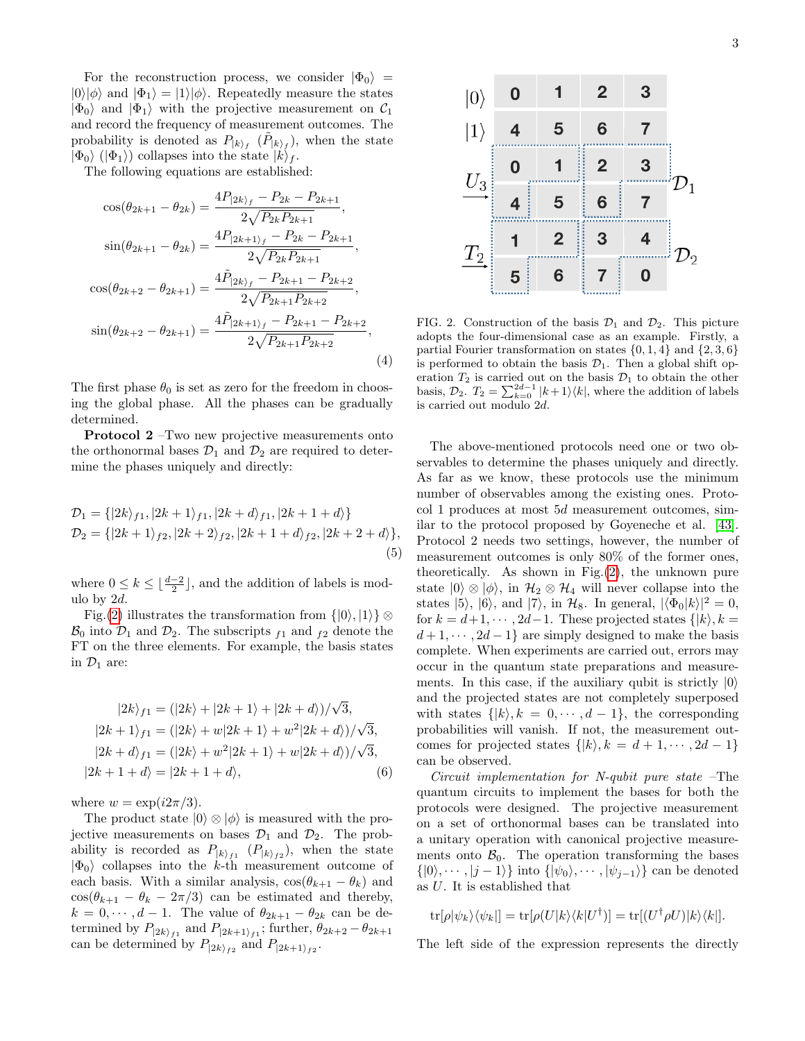For the reconstruction process, we consider  $|\Phi_0\rangle$  =  $|0\rangle|\phi\rangle$  and  $|\Phi_1\rangle = |1\rangle|\phi\rangle$ . Repeatedly measure the states  $|\Phi_0\rangle$  and  $|\Phi_1\rangle$  with the projective measurement on  $\mathcal{C}_1$ and record the frequency of measurement outcomes. The probability is denoted as  $P_{k}$   $(\tilde{P}_{k}$ ,  $(\tilde{P}_{k})$ , when the state  $|\Phi_0\rangle$  ( $|\Phi_1\rangle$ ) collapses into the state  $|k\rangle_f$ .

The following equations are established:

$$
\cos(\theta_{2k+1} - \theta_{2k}) = \frac{4P_{|2k\rangle_f} - P_{2k} - P_{2k+1}}{2\sqrt{P_{2k}P_{2k+1}}},
$$
  
\n
$$
\sin(\theta_{2k+1} - \theta_{2k}) = \frac{4P_{|2k+1\rangle_f} - P_{2k} - P_{2k+1}}{2\sqrt{P_{2k}P_{2k+1}}},
$$
  
\n
$$
\cos(\theta_{2k+2} - \theta_{2k+1}) = \frac{4\tilde{P}_{|2k\rangle_f} - P_{2k+1} - P_{2k+2}}{2\sqrt{P_{2k+1}P_{2k+2}}},
$$
  
\n
$$
\sin(\theta_{2k+2} - \theta_{2k+1}) = \frac{4\tilde{P}_{|2k+1\rangle_f} - P_{2k+1} - P_{2k+2}}{2\sqrt{P_{2k+1}P_{2k+2}}},
$$
  
\n(4)

The first phase  $\theta_0$  is set as zero for the freedom in choosing the global phase. All the phases can be gradually determined.

Protocol 2 –Two new projective measurements onto the orthonormal bases  $\mathcal{D}_1$  and  $\mathcal{D}_2$  are required to determine the phases uniquely and directly:

$$
\mathcal{D}_1 = \{ |2k\rangle_{f1}, |2k+1\rangle_{f1}, |2k+d\rangle_{f1}, |2k+1+d\rangle \}
$$
  
\n
$$
\mathcal{D}_2 = \{ |2k+1\rangle_{f2}, |2k+2\rangle_{f2}, |2k+1+d\rangle_{f2}, |2k+2+d\rangle \},
$$
  
\n(5)

where  $0 \leq k \leq \lfloor \frac{d-2}{2} \rfloor$ , and the addition of labels is modulo by 2d.

Fig.[\(2\)](#page-2-0) illustrates the transformation from  $\{|0\rangle, |1\rangle\}$  ⊗  $\mathcal{B}_0$  into  $\mathcal{D}_1$  and  $\mathcal{D}_2$ . The subscripts  $f_1$  and  $f_2$  denote the FT on the three elements. For example, the basis states in  $\mathcal{D}_1$  are:

$$
|2k\rangle_{f1} = (|2k\rangle + |2k+1\rangle + |2k+d\rangle)/\sqrt{3},
$$
  
\n
$$
|2k+1\rangle_{f1} = (|2k\rangle + w|2k+1\rangle + w^{2}|2k+d\rangle)/\sqrt{3},
$$
  
\n
$$
|2k+d\rangle_{f1} = (|2k\rangle + w^{2}|2k+1\rangle + w|2k+d\rangle)/\sqrt{3},
$$
  
\n
$$
|2k+1+d\rangle = |2k+1+d\rangle,
$$
  
\n(6)

where  $w = \exp(i2\pi/3)$ .

The product state  $|0\rangle \otimes |\phi\rangle$  is measured with the projective measurements on bases  $\mathcal{D}_1$  and  $\mathcal{D}_2$ . The probability is recorded as  $P_{|k\rangle_{f1}}(P_{|k\rangle_{f2}})$ , when the state  $|\Phi_0\rangle$  collapses into the k-th measurement outcome of each basis. With a similar analysis,  $cos(\theta_{k+1} - \theta_k)$  and  $\cos(\theta_{k+1} - \theta_k - 2\pi/3)$  can be estimated and thereby,  $k = 0, \dots, d - 1$ . The value of  $\theta_{2k+1} - \theta_{2k}$  can be determined by  $P_{|2k\rangle_{f1}}$  and  $P_{|2k+1\rangle_{f1}}$ ; further,  $\theta_{2k+2} - \theta_{2k+1}$ can be determined by  $P_{|2k\rangle_{f2}}$  and  $P_{|2k+1\rangle_{f2}}$ .



<span id="page-2-0"></span>FIG. 2. Construction of the basis  $\mathcal{D}_1$  and  $\mathcal{D}_2$ . This picture adopts the four-dimensional case as an example. Firstly, a partial Fourier transformation on states  $\{0, 1, 4\}$  and  $\{2, 3, 6\}$ is performed to obtain the basis  $\mathcal{D}_1$ . Then a global shift operation  $T_2$  is carried out on the basis  $\mathcal{D}_1$  to obtain the other basis,  $\mathcal{D}_2$ .  $T_2 = \sum_{k=0}^{2d-1} |k+1\rangle\langle k|$ , where the addition of labels is carried out modulo 2d.

The above-mentioned protocols need one or two observables to determine the phases uniquely and directly. As far as we know, these protocols use the minimum number of observables among the existing ones. Protocol 1 produces at most 5d measurement outcomes, similar to the protocol proposed by Goyeneche et al. [\[43\]](#page-7-15). Protocol 2 needs two settings, however, the number of measurement outcomes is only 80% of the former ones, theoretically. As shown in Fig.[\(2\)](#page-2-0), the unknown pure state  $|0\rangle \otimes |\phi\rangle$ , in  $\mathcal{H}_2 \otimes \mathcal{H}_4$  will never collapse into the states  $|5\rangle$ ,  $|6\rangle$ , and  $|7\rangle$ , in  $\mathcal{H}_8$ . In general,  $|\langle \Phi_0|k\rangle|^2 = 0$ , for  $k = d+1, \dots, 2d-1$ . These projected states  $\{|k\rangle, k =$  $d+1, \dots, 2d-1$  are simply designed to make the basis complete. When experiments are carried out, errors may occur in the quantum state preparations and measurements. In this case, if the auxiliary qubit is strictly  $|0\rangle$ and the projected states are not completely superposed with states  $\{|k\rangle, k = 0, \dots, d-1\}$ , the corresponding probabilities will vanish. If not, the measurement outcomes for projected states  $\{|k\rangle, k = d + 1, \cdots, 2d - 1\}$ can be observed.

Circuit implementation for N-qubit pure state –The quantum circuits to implement the bases for both the protocols were designed. The projective measurement on a set of orthonormal bases can be translated into a unitary operation with canonical projective measurements onto  $\mathcal{B}_0$ . The operation transforming the bases  $\{|0\rangle, \cdots, |j-1\rangle\}$  into  $\{|\psi_0\rangle, \cdots, |\psi_{j-1}\rangle\}$  can be denoted as U. It is established that

$$
\text{tr}[\rho|\psi_k\rangle\langle\psi_k|] = \text{tr}[\rho(U|k\rangle\langle k|U^{\dagger})] = \text{tr}[(U^{\dagger}\rho U)|k\rangle\langle k|].
$$

The left side of the expression represents the directly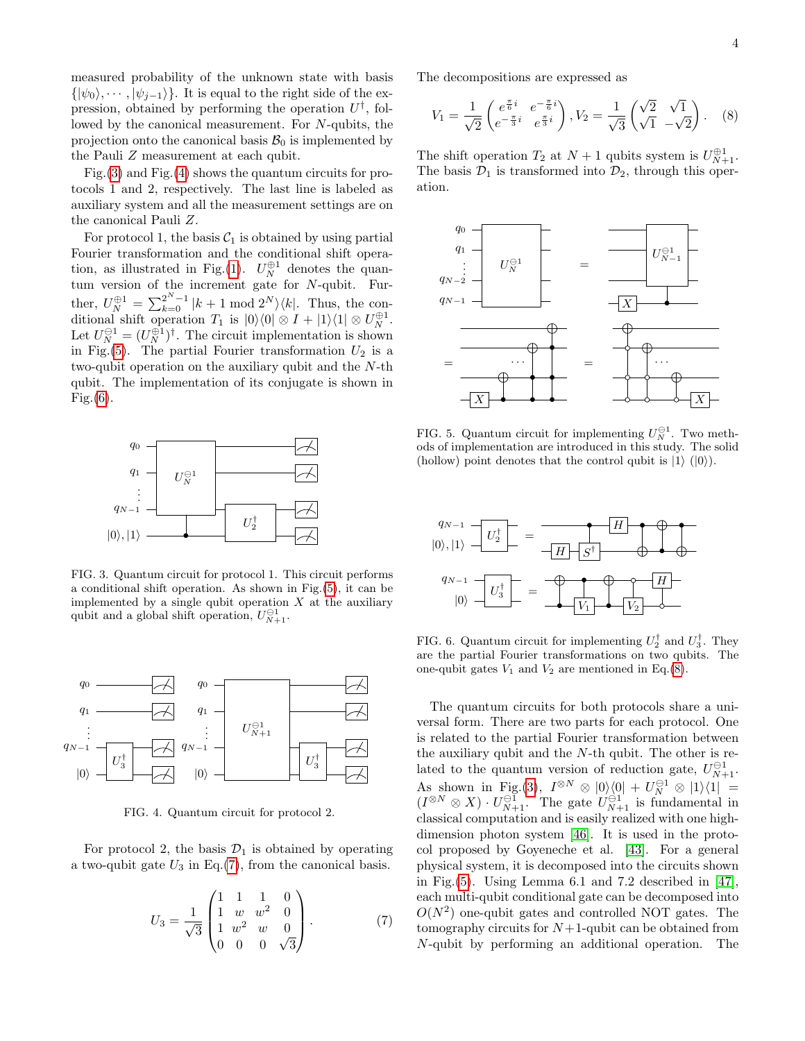measured probability of the unknown state with basis  $\{|\psi_0\rangle, \cdots, |\psi_{j-1}\rangle\}$ . It is equal to the right side of the expression, obtained by performing the operation  $U^{\dagger}$ , followed by the canonical measurement. For N-qubits, the projection onto the canonical basis  $\mathcal{B}_0$  is implemented by the Pauli Z measurement at each qubit.

Fig.[\(3\)](#page-3-0) and Fig.[\(4\)](#page-3-1) shows the quantum circuits for protocols 1 and 2, respectively. The last line is labeled as auxiliary system and all the measurement settings are on the canonical Pauli Z.

For protocol 1, the basis  $C_1$  is obtained by using partial Fourier transformation and the conditional shift opera-tion, as illustrated in Fig.[\(1\)](#page-1-0).  $U_N^{\oplus 1}$  denotes the quantum version of the increment gate for N-qubit. Further,  $U_N^{\oplus 1} = \sum_{k=0}^{2^N-1} |k+1 \bmod 2^N \rangle \langle k|$ . Thus, the conditional shift operation  $T_1$  is  $|0\rangle\langle 0| \otimes I + |1\rangle\langle 1| \otimes U_N^{\oplus 1}$ . Let  $U_N^{\oplus 1} = (U_N^{\oplus 1})^{\dagger}$ . The circuit implementation is shown in Fig.[\(5\)](#page-3-2). The partial Fourier transformation  $U_2$  is a two-qubit operation on the auxiliary qubit and the N-th qubit. The implementation of its conjugate is shown in Fig. $(6)$ .



<span id="page-3-0"></span>FIG. 3. Quantum circuit for protocol 1. This circuit performs a conditional shift operation. As shown in Fig.[\(5\)](#page-3-2), it can be implemented by a single qubit operation  $X$  at the auxiliary qubit and a global shift operation,  $U_{N+1}^{\ominus 1}$ .



<span id="page-3-1"></span>FIG. 4. Quantum circuit for protocol 2.

For protocol 2, the basis  $\mathcal{D}_1$  is obtained by operating a two-qubit gate  $U_3$  in Eq.[\(7\)](#page-3-4), from the canonical basis.

<span id="page-3-4"></span>
$$
U_3 = \frac{1}{\sqrt{3}} \begin{pmatrix} 1 & 1 & 1 & 0 \\ 1 & w & w^2 & 0 \\ 1 & w^2 & w & 0 \\ 0 & 0 & 0 & \sqrt{3} \end{pmatrix} . \tag{7}
$$

The decompositions are expressed as

<span id="page-3-5"></span>
$$
V_1 = \frac{1}{\sqrt{2}} \begin{pmatrix} e^{\frac{\pi}{6}i} & e^{-\frac{\pi}{6}i} \\ e^{-\frac{\pi}{3}i} & e^{\frac{\pi}{3}i} \end{pmatrix}, V_2 = \frac{1}{\sqrt{3}} \begin{pmatrix} \sqrt{2} & \sqrt{1} \\ \sqrt{1} & -\sqrt{2} \end{pmatrix}. \quad (8)
$$

The shift operation  $T_2$  at  $N+1$  qubits system is  $U_{N+1}^{\oplus 1}$ . The basis  $\mathcal{D}_1$  is transformed into  $\mathcal{D}_2$ , through this operation.



<span id="page-3-2"></span>FIG. 5. Quantum circuit for implementing  $U_N^{\ominus 1}$ . Two methods of implementation are introduced in this study. The solid (hollow) point denotes that the control qubit is  $|1\rangle$  ( $|0\rangle$ ).



<span id="page-3-3"></span>FIG. 6. Quantum circuit for implementing  $U_2^{\dagger}$  and  $U_3^{\dagger}$ . They are the partial Fourier transformations on two qubits. The one-qubit gates  $V_1$  and  $V_2$  are mentioned in Eq.[\(8\)](#page-3-5).

The quantum circuits for both protocols share a universal form. There are two parts for each protocol. One is related to the partial Fourier transformation between the auxiliary qubit and the  $N$ -th qubit. The other is related to the quantum version of reduction gate,  $U_{N+1}^{\ominus 1}$ . As shown in Fig.[\(3\)](#page-3-0),  $I^{\otimes N} \otimes |0\rangle\langle 0| + U_N^{\ominus 1} \otimes |1\rangle\langle 1| =$  $(I^{\otimes N} \otimes X) \cdot U_{N+1}^{\ominus 1}$ . The gate  $U_{N+1}^{\ominus 1}$  is fundamental in classical computation and is easily realized with one highdimension photon system [\[46\]](#page-7-18). It is used in the protocol proposed by Goyeneche et al. [\[43\]](#page-7-15). For a general physical system, it is decomposed into the circuits shown in Fig.[\(5\)](#page-3-2). Using Lemma 6.1 and 7.2 described in [\[47\]](#page-7-19), each multi-qubit conditional gate can be decomposed into  $O(N^2)$  one-qubit gates and controlled NOT gates. The tomography circuits for  $N+1$ -qubit can be obtained from N-qubit by performing an additional operation. The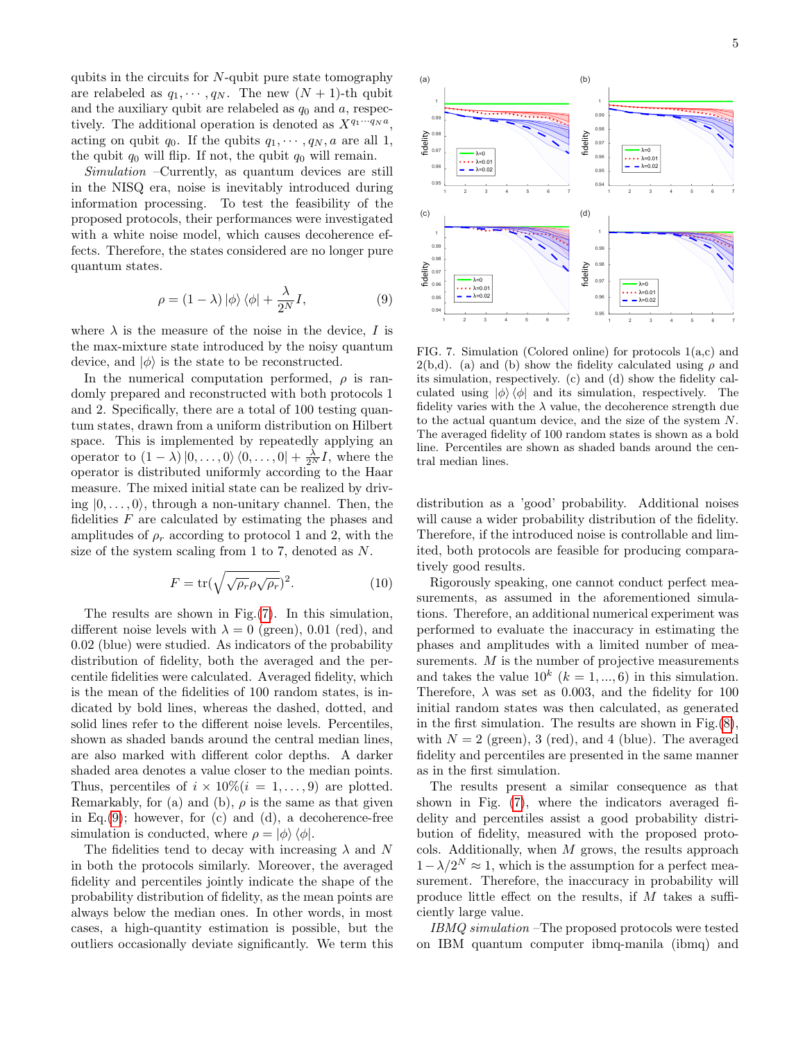qubits in the circuits for  $N$ -qubit pure state tomography are relabeled as  $q_1, \dots, q_N$ . The new  $(N + 1)$ -th qubit and the auxiliary qubit are relabeled as  $q_0$  and  $a$ , respectively. The additional operation is denoted as  $X^{q_1 \cdots q_N a}$ , acting on qubit  $q_0$ . If the qubits  $q_1, \dots, q_N, a$  are all 1, the qubit  $q_0$  will flip. If not, the qubit  $q_0$  will remain.

Simulation –Currently, as quantum devices are still in the NISQ era, noise is inevitably introduced during information processing. To test the feasibility of the proposed protocols, their performances were investigated with a white noise model, which causes decoherence effects. Therefore, the states considered are no longer pure quantum states.

<span id="page-4-1"></span>
$$
\rho = (1 - \lambda) |\phi\rangle \langle \phi| + \frac{\lambda}{2^N} I,\tag{9}
$$

where  $\lambda$  is the measure of the noise in the device, I is the max-mixture state introduced by the noisy quantum device, and  $|\phi\rangle$  is the state to be reconstructed.

In the numerical computation performed,  $\rho$  is randomly prepared and reconstructed with both protocols 1 and 2. Specifically, there are a total of 100 testing quantum states, drawn from a uniform distribution on Hilbert space. This is implemented by repeatedly applying an operator to  $(1 - \lambda) |0, \ldots, 0\rangle \langle 0, \ldots, 0| + \frac{\lambda}{2^N} I$ , where the operator is distributed uniformly according to the Haar measure. The mixed initial state can be realized by driving  $|0, \ldots, 0\rangle$ , through a non-unitary channel. Then, the fidelities  $F$  are calculated by estimating the phases and amplitudes of  $\rho_r$  according to protocol 1 and 2, with the size of the system scaling from 1 to 7, denoted as N.

$$
F = \text{tr}(\sqrt{\sqrt{\rho_r}\rho\sqrt{\rho_r}})^2. \tag{10}
$$

The results are shown in Fig.[\(7\)](#page-4-0). In this simulation, different noise levels with  $\lambda = 0$  (green), 0.01 (red), and 0.02 (blue) were studied. As indicators of the probability distribution of fidelity, both the averaged and the percentile fidelities were calculated. Averaged fidelity, which is the mean of the fidelities of 100 random states, is indicated by bold lines, whereas the dashed, dotted, and solid lines refer to the different noise levels. Percentiles, shown as shaded bands around the central median lines, are also marked with different color depths. A darker shaded area denotes a value closer to the median points. Thus, percentiles of  $i \times 10\%$   $(i = 1, \ldots, 9)$  are plotted. Remarkably, for (a) and (b),  $\rho$  is the same as that given in Eq. $(9)$ ; however, for  $(c)$  and  $(d)$ , a decoherence-free simulation is conducted, where  $\rho = |\phi\rangle \langle \phi|$ .

The fidelities tend to decay with increasing  $\lambda$  and N in both the protocols similarly. Moreover, the averaged fidelity and percentiles jointly indicate the shape of the probability distribution of fidelity, as the mean points are always below the median ones. In other words, in most cases, a high-quantity estimation is possible, but the outliers occasionally deviate significantly. We term this



<span id="page-4-0"></span>FIG. 7. Simulation (Colored online) for protocols 1(a,c) and 2(b,d). (a) and (b) show the fidelity calculated using  $\rho$  and its simulation, respectively. (c) and (d) show the fidelity calculated using  $|\phi\rangle\langle\phi|$  and its simulation, respectively. The fidelity varies with the  $\lambda$  value, the decoherence strength due to the actual quantum device, and the size of the system N. The averaged fidelity of 100 random states is shown as a bold line. Percentiles are shown as shaded bands around the central median lines.

distribution as a 'good' probability. Additional noises will cause a wider probability distribution of the fidelity. Therefore, if the introduced noise is controllable and limited, both protocols are feasible for producing comparatively good results.

Rigorously speaking, one cannot conduct perfect measurements, as assumed in the aforementioned simulations. Therefore, an additional numerical experiment was performed to evaluate the inaccuracy in estimating the phases and amplitudes with a limited number of measurements.  $M$  is the number of projective measurements and takes the value  $10^k$  ( $k = 1, ..., 6$ ) in this simulation. Therefore,  $\lambda$  was set as 0.003, and the fidelity for 100 initial random states was then calculated, as generated in the first simulation. The results are shown in Fig. $(8)$ , with  $N = 2$  (green), 3 (red), and 4 (blue). The averaged fidelity and percentiles are presented in the same manner as in the first simulation.

The results present a similar consequence as that shown in Fig. [\(7\)](#page-4-0), where the indicators averaged fidelity and percentiles assist a good probability distribution of fidelity, measured with the proposed protocols. Additionally, when  $M$  grows, the results approach  $1 - \lambda/2^N \approx 1$ , which is the assumption for a perfect measurement. Therefore, the inaccuracy in probability will produce little effect on the results, if M takes a sufficiently large value.

IBMQ simulation –The proposed protocols were tested on IBM quantum computer ibmq-manila (ibmq) and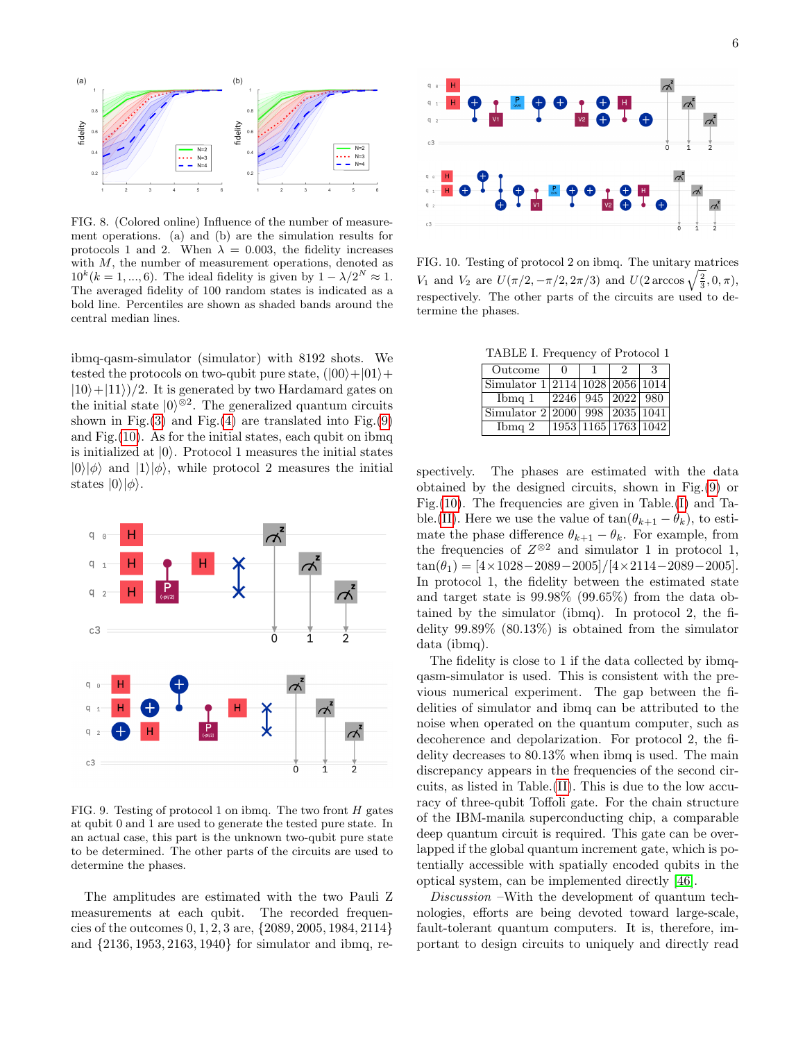

<span id="page-5-0"></span>FIG. 8. (Colored online) Influence of the number of measurement operations. (a) and (b) are the simulation results for protocols 1 and 2. When  $\lambda = 0.003$ , the fidelity increases with M, the number of measurement operations, denoted as  $10^{k}$ ( $k = 1, ..., 6$ ). The ideal fidelity is given by  $1 - \lambda/2^{N} \approx 1$ . The averaged fidelity of 100 random states is indicated as a bold line. Percentiles are shown as shaded bands around the central median lines.

ibmq-qasm-simulator (simulator) with 8192 shots. We tested the protocols on two-qubit pure state,  $(|00\rangle+|01\rangle+$  $|10\rangle+|11\rangle)/2$ . It is generated by two Hardamard gates on the initial state  $|0\rangle^{\otimes 2}$ . The generalized quantum circuits shown in Fig. $(3)$  and Fig. $(4)$  are translated into Fig. $(9)$ and Fig.[\(10\)](#page-5-2). As for the initial states, each qubit on ibmq is initialized at  $|0\rangle$ . Protocol 1 measures the initial states  $|0\rangle|\phi\rangle$  and  $|1\rangle|\phi\rangle$ , while protocol 2 measures the initial states  $|0\rangle|\phi\rangle$ .



<span id="page-5-1"></span>FIG. 9. Testing of protocol 1 on ibmq. The two front  $H$  gates at qubit 0 and 1 are used to generate the tested pure state. In an actual case, this part is the unknown two-qubit pure state to be determined. The other parts of the circuits are used to determine the phases.

The amplitudes are estimated with the two Pauli Z measurements at each qubit. The recorded frequencies of the outcomes 0, 1, 2, 3 are, {2089, 2005, 1984, 2114} and {2136, 1953, 2163, 1940} for simulator and ibmq, re-



<span id="page-5-2"></span>FIG. 10. Testing of protocol 2 on ibmq. The unitary matrices V<sub>1</sub> and V<sub>2</sub> are  $U(\pi/2, -\pi/2, 2\pi/3)$  and  $U(2 \arccos \sqrt{\frac{2}{3}}, 0, \pi)$ , respectively. The other parts of the circuits are used to determine the phases.

<span id="page-5-3"></span>TABLE I. Frequency of Protocol 1

| Outcome                            | $\mathbf{u}$ | ')           | 3                   |
|------------------------------------|--------------|--------------|---------------------|
| Simulator $1 2114 1028 2056 1014 $ |              |              |                     |
| $Ib$ Theorem 1                     | 2246         | 945 2022 980 |                     |
| Simulator 2 2000 998 2035 1041     |              |              |                     |
| $Ib$ mq $2$                        |              |              | 1953 1165 1763 1042 |

spectively. The phases are estimated with the data obtained by the designed circuits, shown in Fig.[\(9\)](#page-5-1) or Fig. $(10)$ . The frequencies are given in Table. $(I)$  and Ta-ble.[\(II\)](#page-6-13). Here we use the value of  $\tan(\theta_{k+1} - \theta_k)$ , to estimate the phase difference  $\theta_{k+1} - \theta_k$ . For example, from the frequencies of  $Z^{\otimes 2}$  and simulator 1 in protocol 1,  $\tan(\theta_1) = [4 \times 1028 - 2089 - 2005]/[4 \times 2114 - 2089 - 2005].$ In protocol 1, the fidelity between the estimated state and target state is 99.98% (99.65%) from the data obtained by the simulator (ibmq). In protocol 2, the fidelity 99.89% (80.13%) is obtained from the simulator data (ibmq).

The fidelity is close to 1 if the data collected by ibmqqasm-simulator is used. This is consistent with the previous numerical experiment. The gap between the fidelities of simulator and ibmq can be attributed to the noise when operated on the quantum computer, such as decoherence and depolarization. For protocol 2, the fidelity decreases to 80.13% when ibmq is used. The main discrepancy appears in the frequencies of the second circuits, as listed in Table.[\(II\)](#page-6-13). This is due to the low accuracy of three-qubit Toffoli gate. For the chain structure of the IBM-manila superconducting chip, a comparable deep quantum circuit is required. This gate can be overlapped if the global quantum increment gate, which is potentially accessible with spatially encoded qubits in the optical system, can be implemented directly [\[46\]](#page-7-18).

Discussion –With the development of quantum technologies, efforts are being devoted toward large-scale, fault-tolerant quantum computers. It is, therefore, important to design circuits to uniquely and directly read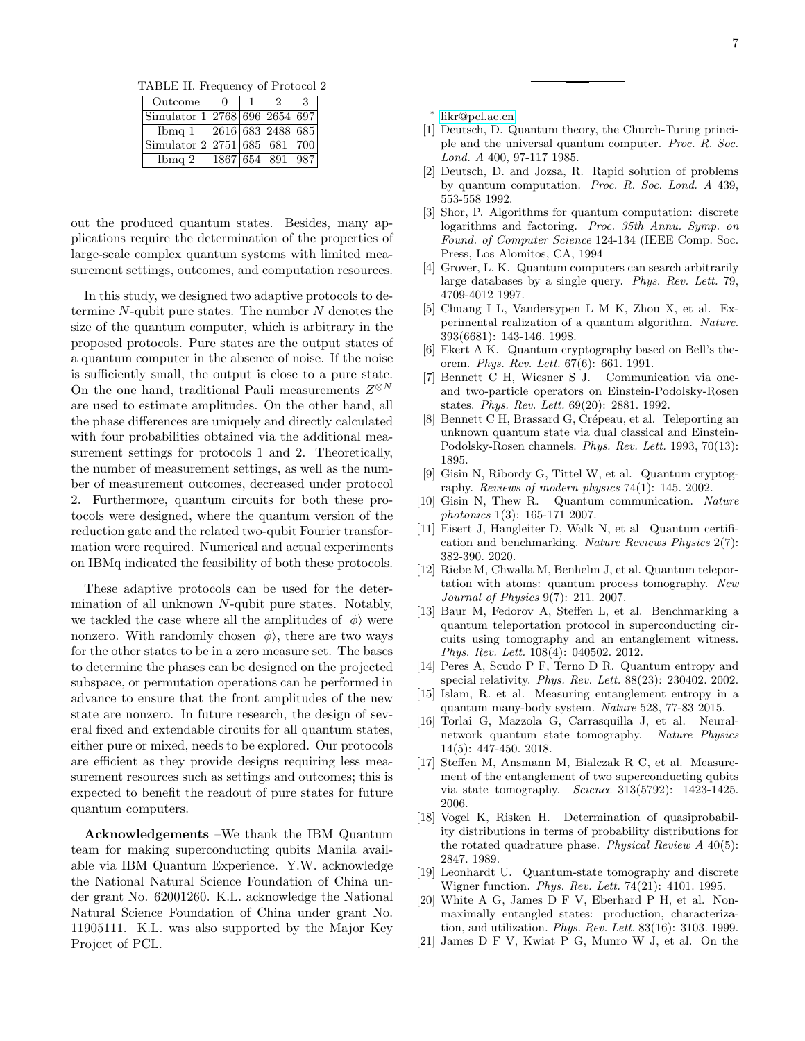<span id="page-6-13"></span>TABLE II. Frequency of Protocol 2

| Outcome                       |                   | '2           | З    |
|-------------------------------|-------------------|--------------|------|
| Simulator 1 2768 696 2654 697 |                   |              |      |
| $Ib$ Theorem 1                | 2616 683 2488 685 |              |      |
| Simulator 2 2751 685 681      |                   |              | -700 |
| $Ib$ and $2$                  |                   | 1867 654 891 | 987  |

out the produced quantum states. Besides, many applications require the determination of the properties of large-scale complex quantum systems with limited measurement settings, outcomes, and computation resources.

In this study, we designed two adaptive protocols to determine  $N$ -qubit pure states. The number  $N$  denotes the size of the quantum computer, which is arbitrary in the proposed protocols. Pure states are the output states of a quantum computer in the absence of noise. If the noise is sufficiently small, the output is close to a pure state. On the one hand, traditional Pauli measurements  $Z^{\otimes N}$ are used to estimate amplitudes. On the other hand, all the phase differences are uniquely and directly calculated with four probabilities obtained via the additional measurement settings for protocols 1 and 2. Theoretically, the number of measurement settings, as well as the number of measurement outcomes, decreased under protocol 2. Furthermore, quantum circuits for both these protocols were designed, where the quantum version of the reduction gate and the related two-qubit Fourier transformation were required. Numerical and actual experiments on IBMq indicated the feasibility of both these protocols.

These adaptive protocols can be used for the determination of all unknown N-qubit pure states. Notably, we tackled the case where all the amplitudes of  $|\phi\rangle$  were nonzero. With randomly chosen  $|\phi\rangle$ , there are two ways for the other states to be in a zero measure set. The bases to determine the phases can be designed on the projected subspace, or permutation operations can be performed in advance to ensure that the front amplitudes of the new state are nonzero. In future research, the design of several fixed and extendable circuits for all quantum states, either pure or mixed, needs to be explored. Our protocols are efficient as they provide designs requiring less measurement resources such as settings and outcomes; this is expected to benefit the readout of pure states for future quantum computers.

Acknowledgements –We thank the IBM Quantum team for making superconducting qubits Manila available via IBM Quantum Experience. Y.W. acknowledge the National Natural Science Foundation of China under grant No. 62001260. K.L. acknowledge the National Natural Science Foundation of China under grant No. 11905111. K.L. was also supported by the Major Key Project of PCL.

<span id="page-6-0"></span>∗ [likr@pcl.ac.cn](mailto:likr@pcl.ac.cn)

- <span id="page-6-1"></span>[1] Deutsch, D. Quantum theory, the Church-Turing principle and the universal quantum computer. Proc. R. Soc. Lond. A 400, 97-117 1985.
- [2] Deutsch, D. and Jozsa, R. Rapid solution of problems by quantum computation. Proc. R. Soc. Lond. A 439, 553-558 1992.
- <span id="page-6-12"></span>[3] Shor, P. Algorithms for quantum computation: discrete logarithms and factoring. Proc. 35th Annu. Symp. on Found. of Computer Science 124-134 (IEEE Comp. Soc. Press, Los Alomitos, CA, 1994
- [4] Grover, L. K. Quantum computers can search arbitrarily large databases by a single query. Phys. Rev. Lett. 79, 4709-4012 1997.
- <span id="page-6-2"></span>[5] Chuang I L, Vandersypen L M K, Zhou X, et al. Experimental realization of a quantum algorithm. Nature. 393(6681): 143-146. 1998.
- <span id="page-6-3"></span>[6] Ekert A K. Quantum cryptography based on Bell's theorem. Phys. Rev. Lett. 67(6): 661. 1991.
- [7] Bennett C H, Wiesner S J. Communication via oneand two-particle operators on Einstein-Podolsky-Rosen states. Phys. Rev. Lett. 69(20): 2881. 1992.
- [8] Bennett C H, Brassard G, Crépeau, et al. Teleporting an unknown quantum state via dual classical and Einstein-Podolsky-Rosen channels. Phys. Rev. Lett. 1993, 70(13): 1895.
- [9] Gisin N, Ribordy G, Tittel W, et al. Quantum cryptography. Reviews of modern physics 74(1): 145. 2002.
- <span id="page-6-4"></span>[10] Gisin N, Thew R. Quantum communication. Nature photonics 1(3): 165-171 2007.
- <span id="page-6-5"></span>[11] Eisert J, Hangleiter D, Walk N, et al Quantum certification and benchmarking. Nature Reviews Physics 2(7): 382-390. 2020.
- <span id="page-6-6"></span>[12] Riebe M, Chwalla M, Benhelm J, et al. Quantum teleportation with atoms: quantum process tomography. New Journal of Physics 9(7): 211. 2007.
- <span id="page-6-7"></span>[13] Baur M, Fedorov A, Steffen L, et al. Benchmarking a quantum teleportation protocol in superconducting circuits using tomography and an entanglement witness. Phys. Rev. Lett. 108(4): 040502. 2012.
- <span id="page-6-8"></span>[14] Peres A, Scudo P F, Terno D R. Quantum entropy and special relativity. Phys. Rev. Lett. 88(23): 230402. 2002.
- [15] Islam, R. et al. Measuring entanglement entropy in a quantum many-body system. Nature 528, 77-83 2015.
- [16] Torlai G, Mazzola G, Carrasquilla J, et al. Neuralnetwork quantum state tomography. Nature Physics 14(5): 447-450. 2018.
- <span id="page-6-9"></span>[17] Steffen M, Ansmann M, Bialczak R C, et al. Measurement of the entanglement of two superconducting qubits via state tomography. Science 313(5792): 1423-1425. 2006.
- <span id="page-6-10"></span>[18] Vogel K, Risken H. Determination of quasiprobability distributions in terms of probability distributions for the rotated quadrature phase. Physical Review A 40(5): 2847. 1989.
- [19] Leonhardt U. Quantum-state tomography and discrete Wigner function. Phys. Rev. Lett. 74(21): 4101. 1995.
- [20] White A G, James D F V, Eberhard P H, et al. Nonmaximally entangled states: production, characterization, and utilization. Phys. Rev. Lett. 83(16): 3103. 1999.
- <span id="page-6-11"></span>[21] James D F V, Kwiat P G, Munro W J, et al. On the